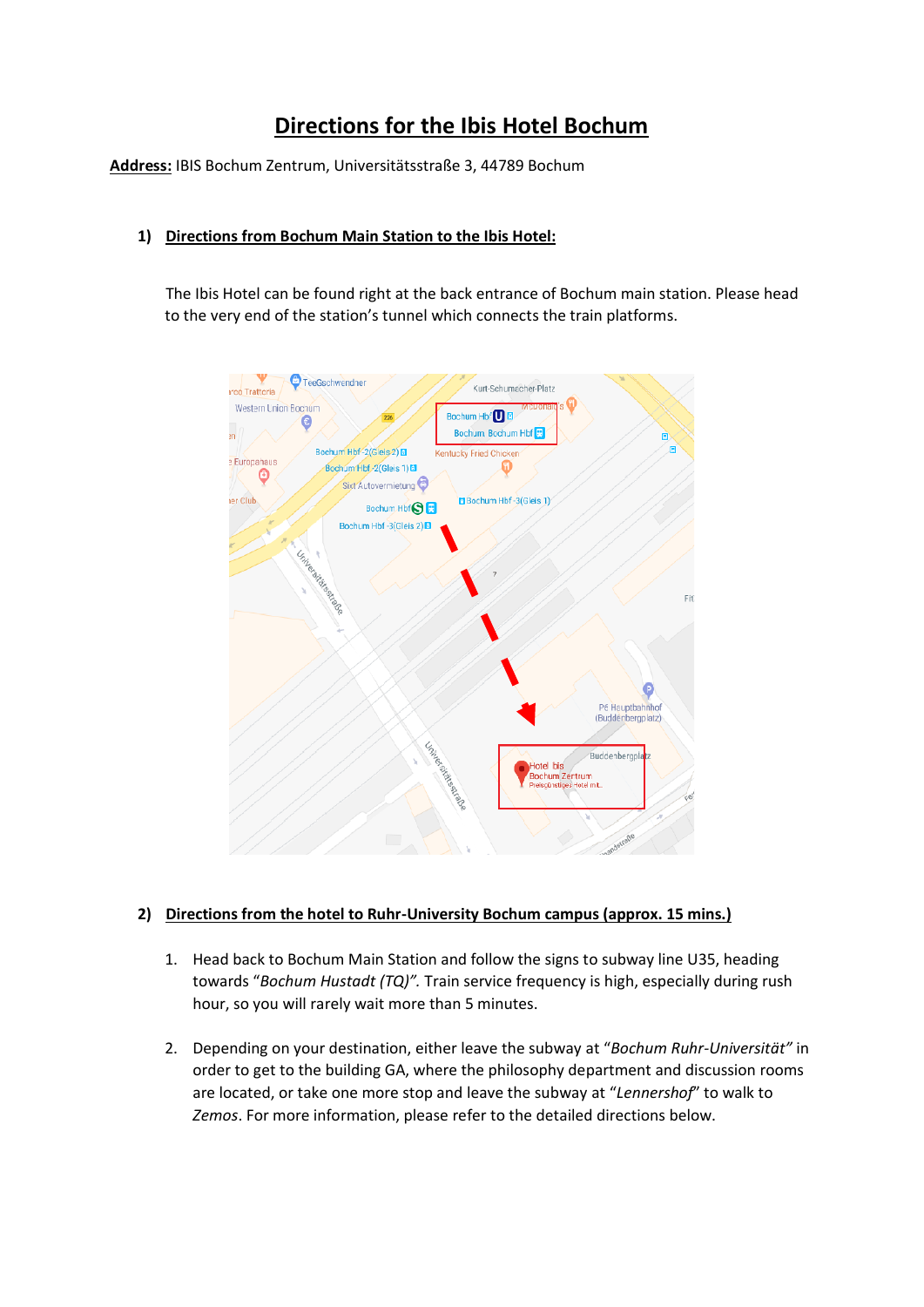# **Directions for the Ibis Hotel Bochum**

**Address:** IBIS Bochum Zentrum, Universitätsstraße 3, 44789 Bochum

## **1) Directions from Bochum Main Station to the Ibis Hotel:**

The Ibis Hotel can be found right at the back entrance of Bochum main station. Please head to the very end of the station's tunnel which connects the train platforms.



## **2) Directions from the hotel to Ruhr-University Bochum campus (approx. 15 mins.)**

- 1. Head back to Bochum Main Station and follow the signs to subway line U35, heading towards "*Bochum Hustadt (TQ)".* Train service frequency is high, especially during rush hour, so you will rarely wait more than 5 minutes.
- 2. Depending on your destination, either leave the subway at "*Bochum Ruhr-Universität"* in order to get to the building GA, where the philosophy department and discussion rooms are located, or take one more stop and leave the subway at "*Lennershof*" to walk to *Zemos*. For more information, please refer to the detailed directions below.